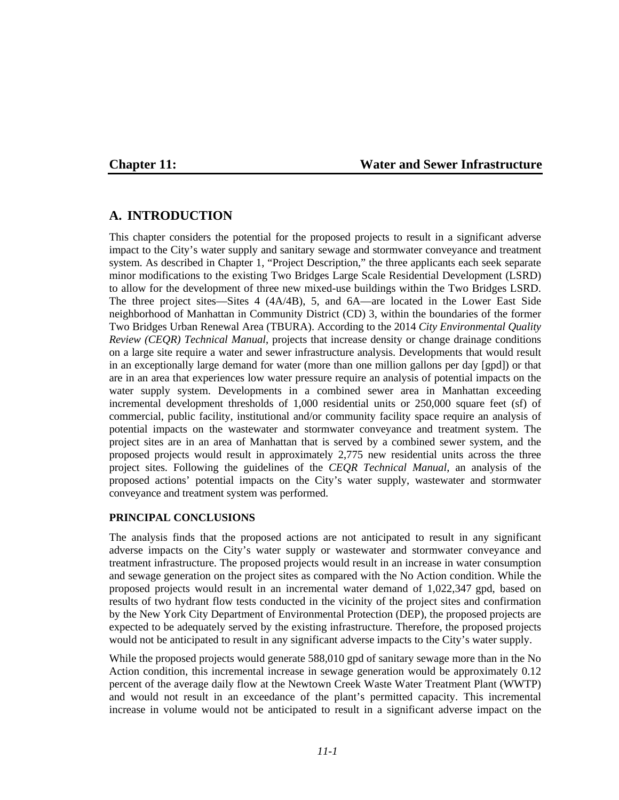# **Chapter 11: Water and Sewer Infrastructure**

# **A. INTRODUCTION**

This chapter considers the potential for the proposed projects to result in a significant adverse impact to the City's water supply and sanitary sewage and stormwater conveyance and treatment system. As described in Chapter 1, "Project Description," the three applicants each seek separate minor modifications to the existing Two Bridges Large Scale Residential Development (LSRD) to allow for the development of three new mixed-use buildings within the Two Bridges LSRD. The three project sites—Sites 4 (4A/4B), 5, and 6A—are located in the Lower East Side neighborhood of Manhattan in Community District (CD) 3, within the boundaries of the former Two Bridges Urban Renewal Area (TBURA). According to the 2014 *City Environmental Quality Review (CEQR) Technical Manual*, projects that increase density or change drainage conditions on a large site require a water and sewer infrastructure analysis. Developments that would result in an exceptionally large demand for water (more than one million gallons per day [gpd]) or that are in an area that experiences low water pressure require an analysis of potential impacts on the water supply system. Developments in a combined sewer area in Manhattan exceeding incremental development thresholds of 1,000 residential units or 250,000 square feet (sf) of commercial, public facility, institutional and/or community facility space require an analysis of potential impacts on the wastewater and stormwater conveyance and treatment system. The project sites are in an area of Manhattan that is served by a combined sewer system, and the proposed projects would result in approximately 2,775 new residential units across the three project sites. Following the guidelines of the *CEQR Technical Manual*, an analysis of the proposed actions' potential impacts on the City's water supply, wastewater and stormwater conveyance and treatment system was performed.

#### **PRINCIPAL CONCLUSIONS**

The analysis finds that the proposed actions are not anticipated to result in any significant adverse impacts on the City's water supply or wastewater and stormwater conveyance and treatment infrastructure. The proposed projects would result in an increase in water consumption and sewage generation on the project sites as compared with the No Action condition. While the proposed projects would result in an incremental water demand of 1,022,347 gpd, based on results of two hydrant flow tests conducted in the vicinity of the project sites and confirmation by the New York City Department of Environmental Protection (DEP), the proposed projects are expected to be adequately served by the existing infrastructure. Therefore, the proposed projects would not be anticipated to result in any significant adverse impacts to the City's water supply.

While the proposed projects would generate 588,010 gpd of sanitary sewage more than in the No Action condition, this incremental increase in sewage generation would be approximately 0.12 percent of the average daily flow at the Newtown Creek Waste Water Treatment Plant (WWTP) and would not result in an exceedance of the plant's permitted capacity. This incremental increase in volume would not be anticipated to result in a significant adverse impact on the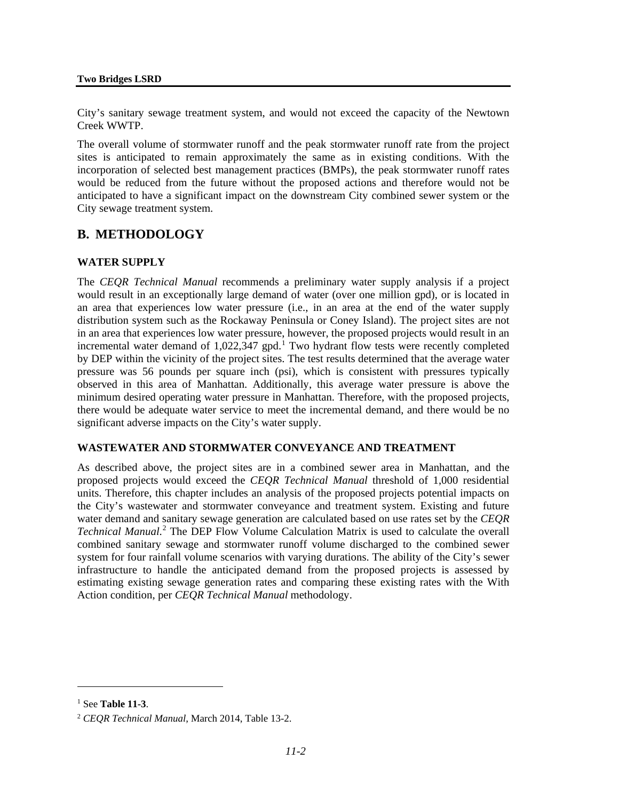City's sanitary sewage treatment system, and would not exceed the capacity of the Newtown Creek WWTP.

The overall volume of stormwater runoff and the peak stormwater runoff rate from the project sites is anticipated to remain approximately the same as in existing conditions. With the incorporation of selected best management practices (BMPs), the peak stormwater runoff rates would be reduced from the future without the proposed actions and therefore would not be anticipated to have a significant impact on the downstream City combined sewer system or the City sewage treatment system.

# **B. METHODOLOGY**

# **WATER SUPPLY**

The *CEQR Technical Manual* recommends a preliminary water supply analysis if a project would result in an exceptionally large demand of water (over one million gpd), or is located in an area that experiences low water pressure (i.e., in an area at the end of the water supply distribution system such as the Rockaway Peninsula or Coney Island). The project sites are not in an area that experiences low water pressure, however, the proposed projects would result in an incremental water demand of 1,022,347 gpd. [1](#page-1-0) Two hydrant flow tests were recently completed by DEP within the vicinity of the project sites. The test results determined that the average water pressure was 56 pounds per square inch (psi), which is consistent with pressures typically observed in this area of Manhattan. Additionally, this average water pressure is above the minimum desired operating water pressure in Manhattan. Therefore, with the proposed projects, there would be adequate water service to meet the incremental demand, and there would be no significant adverse impacts on the City's water supply.

#### **WASTEWATER AND STORMWATER CONVEYANCE AND TREATMENT**

As described above, the project sites are in a combined sewer area in Manhattan, and the proposed projects would exceed the *CEQR Technical Manual* threshold of 1,000 residential units. Therefore, this chapter includes an analysis of the proposed projects potential impacts on the City's wastewater and stormwater conveyance and treatment system. Existing and future water demand and sanitary sewage generation are calculated based on use rates set by the *CEQR Technical Manual*. [2](#page-1-1) The DEP Flow Volume Calculation Matrix is used to calculate the overall combined sanitary sewage and stormwater runoff volume discharged to the combined sewer system for four rainfall volume scenarios with varying durations. The ability of the City's sewer infrastructure to handle the anticipated demand from the proposed projects is assessed by estimating existing sewage generation rates and comparing these existing rates with the With Action condition, per *CEQR Technical Manual* methodology.

 $\overline{a}$ 

<span id="page-1-0"></span><sup>1</sup> See **Table 11-3**.

<span id="page-1-1"></span><sup>2</sup> *CEQR Technical Manual*, March 2014, Table 13-2.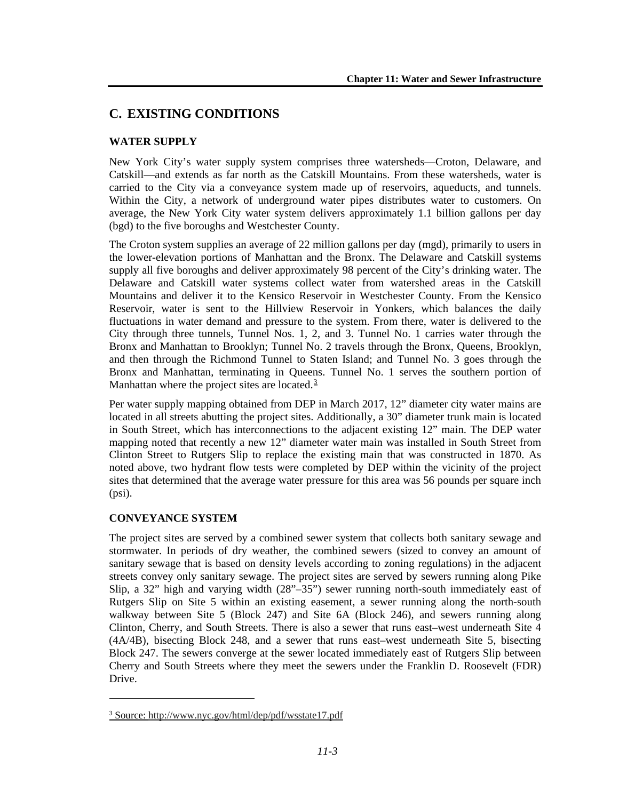# **C. EXISTING CONDITIONS**

# **WATER SUPPLY**

New York City's water supply system comprises three watersheds—Croton, Delaware, and Catskill—and extends as far north as the Catskill Mountains. From these watersheds, water is carried to the City via a conveyance system made up of reservoirs, aqueducts, and tunnels. Within the City, a network of underground water pipes distributes water to customers. On average, the New York City water system delivers approximately 1.1 billion gallons per day (bgd) to the five boroughs and Westchester County.

The Croton system supplies an average of 22 million gallons per day (mgd), primarily to users in the lower-elevation portions of Manhattan and the Bronx. The Delaware and Catskill systems supply all five boroughs and deliver approximately 98 percent of the City's drinking water. The Delaware and Catskill water systems collect water from watershed areas in the Catskill Mountains and deliver it to the Kensico Reservoir in Westchester County. From the Kensico Reservoir, water is sent to the Hillview Reservoir in Yonkers, which balances the daily fluctuations in water demand and pressure to the system. From there, water is delivered to the City through three tunnels, Tunnel Nos. 1, 2, and 3. Tunnel No. 1 carries water through the Bronx and Manhattan to Brooklyn; Tunnel No. 2 travels through the Bronx, Queens, Brooklyn, and then through the Richmond Tunnel to Staten Island; and Tunnel No. 3 goes through the Bronx and Manhattan, terminating in Queens. Tunnel No. 1 serves the southern portion of Manhattan where the project sites are located. $\frac{3}{2}$  $\frac{3}{2}$  $\frac{3}{2}$ 

Per water supply mapping obtained from DEP in March 2017, 12" diameter city water mains are located in all streets abutting the project sites. Additionally, a 30" diameter trunk main is located in South Street, which has interconnections to the adjacent existing 12" main. The DEP water mapping noted that recently a new 12" diameter water main was installed in South Street from Clinton Street to Rutgers Slip to replace the existing main that was constructed in 1870. As noted above, two hydrant flow tests were completed by DEP within the vicinity of the project sites that determined that the average water pressure for this area was 56 pounds per square inch (psi).

# **CONVEYANCE SYSTEM**

 $\overline{a}$ 

The project sites are served by a combined sewer system that collects both sanitary sewage and stormwater. In periods of dry weather, the combined sewers (sized to convey an amount of sanitary sewage that is based on density levels according to zoning regulations) in the adjacent streets convey only sanitary sewage. The project sites are served by sewers running along Pike Slip, a 32" high and varying width (28"–35") sewer running north-south immediately east of Rutgers Slip on Site 5 within an existing easement, a sewer running along the north-south walkway between Site 5 (Block 247) and Site 6A (Block 246), and sewers running along Clinton, Cherry, and South Streets. There is also a sewer that runs east–west underneath Site 4 (4A/4B), bisecting Block 248, and a sewer that runs east–west underneath Site 5, bisecting Block 247. The sewers converge at the sewer located immediately east of Rutgers Slip between Cherry and South Streets where they meet the sewers under the Franklin D. Roosevelt (FDR) Drive.

<span id="page-2-0"></span><sup>3</sup> Source: http://www.nyc.gov/html/dep/pdf/wsstate17.pdf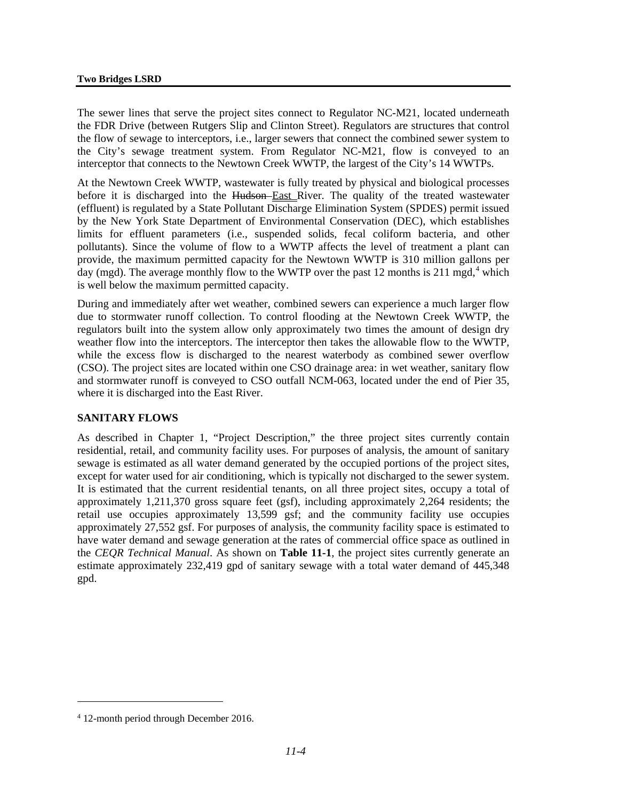#### **Two Bridges LSRD**

The sewer lines that serve the project sites connect to Regulator NC-M21, located underneath the FDR Drive (between Rutgers Slip and Clinton Street). Regulators are structures that control the flow of sewage to interceptors, i.e., larger sewers that connect the combined sewer system to the City's sewage treatment system. From Regulator NC-M21, flow is conveyed to an interceptor that connects to the Newtown Creek WWTP, the largest of the City's 14 WWTPs.

At the Newtown Creek WWTP, wastewater is fully treated by physical and biological processes before it is discharged into the Hudson-East River. The quality of the treated wastewater (effluent) is regulated by a State Pollutant Discharge Elimination System (SPDES) permit issued by the New York State Department of Environmental Conservation (DEC), which establishes limits for effluent parameters (i.e., suspended solids, fecal coliform bacteria, and other pollutants). Since the volume of flow to a WWTP affects the level of treatment a plant can provide, the maximum permitted capacity for the Newtown WWTP is 310 million gallons per day (mgd). The average monthly flow to the WWTP over the past 12 months is 211 mgd,<sup>[4](#page-3-0)</sup> which is well below the maximum permitted capacity.

During and immediately after wet weather, combined sewers can experience a much larger flow due to stormwater runoff collection. To control flooding at the Newtown Creek WWTP, the regulators built into the system allow only approximately two times the amount of design dry weather flow into the interceptors. The interceptor then takes the allowable flow to the WWTP, while the excess flow is discharged to the nearest waterbody as combined sewer overflow (CSO). The project sites are located within one CSO drainage area: in wet weather, sanitary flow and stormwater runoff is conveyed to CSO outfall NCM-063, located under the end of Pier 35, where it is discharged into the East River.

#### **SANITARY FLOWS**

As described in Chapter 1, "Project Description," the three project sites currently contain residential, retail, and community facility uses. For purposes of analysis, the amount of sanitary sewage is estimated as all water demand generated by the occupied portions of the project sites, except for water used for air conditioning, which is typically not discharged to the sewer system. It is estimated that the current residential tenants, on all three project sites, occupy a total of approximately 1,211,370 gross square feet (gsf), including approximately 2,264 residents; the retail use occupies approximately 13,599 gsf; and the community facility use occupies approximately 27,552 gsf. For purposes of analysis, the community facility space is estimated to have water demand and sewage generation at the rates of commercial office space as outlined in the *CEQR Technical Manual*. As shown on **Table 11-1**, the project sites currently generate an estimate approximately 232,419 gpd of sanitary sewage with a total water demand of 445,348 gpd.

 $\overline{a}$ 

<span id="page-3-0"></span><sup>4</sup> 12-month period through December 2016.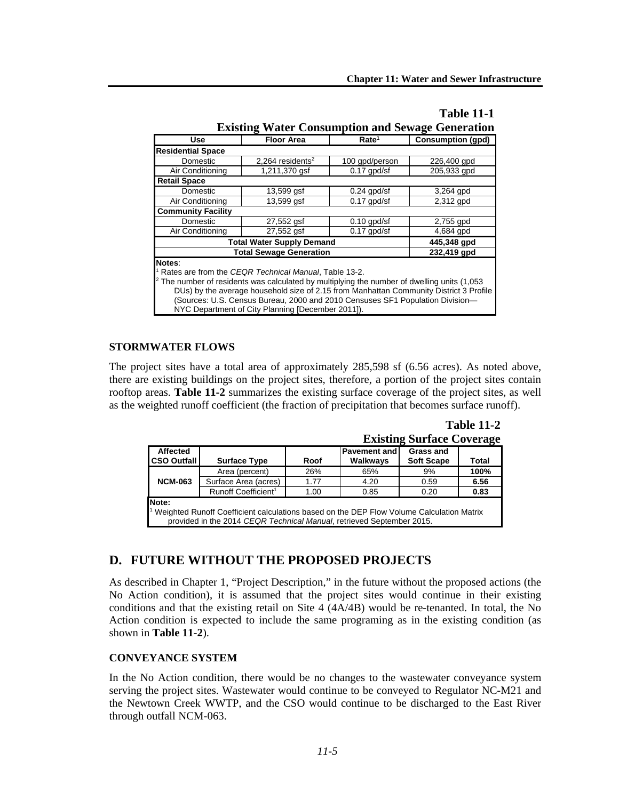| Use                                                                                                     | <b>Floor Area</b>                                                                                                                                                                                                                                                                     | Rate <sup>1</sup> |             |  |  |  |
|---------------------------------------------------------------------------------------------------------|---------------------------------------------------------------------------------------------------------------------------------------------------------------------------------------------------------------------------------------------------------------------------------------|-------------------|-------------|--|--|--|
| <b>Residential Space</b>                                                                                |                                                                                                                                                                                                                                                                                       |                   |             |  |  |  |
| Domestic                                                                                                | 2.264 residents <sup>2</sup>                                                                                                                                                                                                                                                          | 100 gpd/person    | 226,400 gpd |  |  |  |
| Air Conditioning                                                                                        | 1,211,370 gsf<br>$0.17$ gpd/sf<br>205,933 gpd                                                                                                                                                                                                                                         |                   |             |  |  |  |
| <b>Retail Space</b>                                                                                     |                                                                                                                                                                                                                                                                                       |                   |             |  |  |  |
| Domestic                                                                                                | $13,599$ gsf                                                                                                                                                                                                                                                                          | $0.24$ gpd/sf     | 3,264 gpd   |  |  |  |
| Air Conditioning                                                                                        | 13,599 qsf                                                                                                                                                                                                                                                                            | $0.17$ gpd/sf     | 2,312 gpd   |  |  |  |
| <b>Community Facility</b>                                                                               |                                                                                                                                                                                                                                                                                       |                   |             |  |  |  |
| Domestic                                                                                                | $0.10$ apd/sf                                                                                                                                                                                                                                                                         | 2,755 gpd         |             |  |  |  |
| Air Conditioning                                                                                        | 27,552 gsf                                                                                                                                                                                                                                                                            | $0.17$ gpd/sf     | 4,684 gpd   |  |  |  |
|                                                                                                         | <b>Total Water Supply Demand</b>                                                                                                                                                                                                                                                      |                   | 445,348 gpd |  |  |  |
|                                                                                                         | <b>Total Sewage Generation</b>                                                                                                                                                                                                                                                        |                   | 232,419 gpd |  |  |  |
| Notes:<br>$2$ The number of residents was calculated by multiplying the number of dwelling units (1,053 | Rates are from the CEQR Technical Manual, Table 13-2.<br>DUs) by the average household size of 2.15 from Manhattan Community District 3 Profile<br>(Sources: U.S. Census Bureau, 2000 and 2010 Censuses SF1 Population Division-<br>NYC Department of City Planning [December 2011]). |                   |             |  |  |  |

# **Table 11-1**

# **STORMWATER FLOWS**

The project sites have a total area of approximately 285,598 sf (6.56 acres). As noted above, there are existing buildings on the project sites, therefore, a portion of the project sites contain rooftop areas. **Table 11-2** summarizes the existing surface coverage of the project sites, as well as the weighted runoff coefficient (the fraction of precipitation that becomes surface runoff).

| <b>Existing Surface Coverage</b>                                                                                                                                                        |                                 |      |                                 |                                       |       |  |  |  |  |
|-----------------------------------------------------------------------------------------------------------------------------------------------------------------------------------------|---------------------------------|------|---------------------------------|---------------------------------------|-------|--|--|--|--|
| <b>Affected</b><br><b>CSO Outfall</b>                                                                                                                                                   | <b>Surface Type</b>             | Roof | <b>Pavement and</b><br>Walkways | <b>Grass and</b><br><b>Soft Scape</b> | Total |  |  |  |  |
|                                                                                                                                                                                         | Area (percent)                  | 26%  | 65%                             | 9%                                    | 100%  |  |  |  |  |
| <b>NCM-063</b>                                                                                                                                                                          | Surface Area (acres)            | 1.77 | 4.20                            | 0.59                                  | 6.56  |  |  |  |  |
|                                                                                                                                                                                         | Runoff Coefficient <sup>1</sup> | 1.00 | 0.85                            | 0.20                                  | 0.83  |  |  |  |  |
| Note:<br><sup>1</sup> Weighted Runoff Coefficient calculations based on the DEP Flow Volume Calculation Matrix<br>provided in the 2014 CEQR Technical Manual, retrieved September 2015. |                                 |      |                                 |                                       |       |  |  |  |  |

**Table 11-2 Existing Surface Coverage**

# **D. FUTURE WITHOUT THE PROPOSED PROJECTS**

As described in Chapter 1, "Project Description," in the future without the proposed actions (the No Action condition), it is assumed that the project sites would continue in their existing conditions and that the existing retail on Site  $4 \frac{(4A}{4B})$  would be re-tenanted. In total, the No Action condition is expected to include the same programing as in the existing condition (as shown in **Table 11-2**).

# **CONVEYANCE SYSTEM**

In the No Action condition, there would be no changes to the wastewater conveyance system serving the project sites. Wastewater would continue to be conveyed to Regulator NC-M21 and the Newtown Creek WWTP, and the CSO would continue to be discharged to the East River through outfall NCM-063.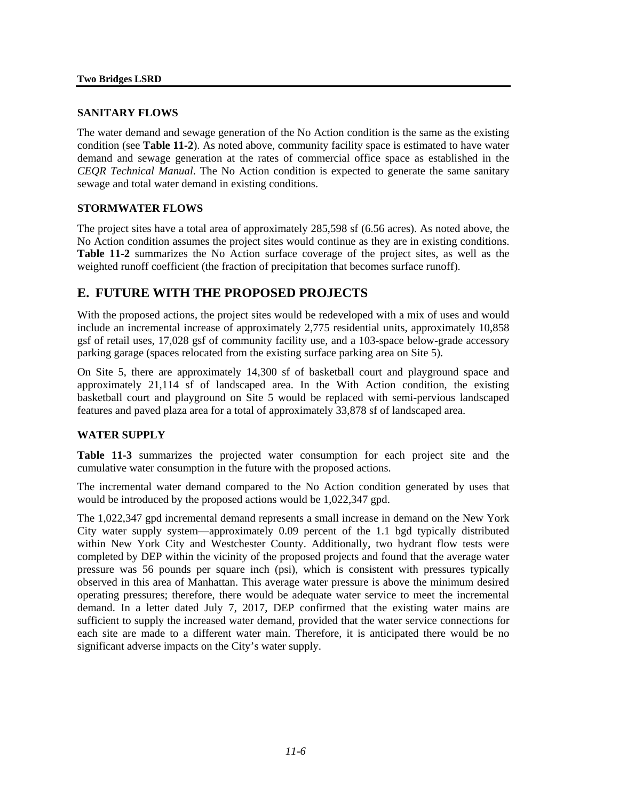#### **SANITARY FLOWS**

The water demand and sewage generation of the No Action condition is the same as the existing condition (see **Table 11-2**). As noted above, community facility space is estimated to have water demand and sewage generation at the rates of commercial office space as established in the *CEQR Technical Manual*. The No Action condition is expected to generate the same sanitary sewage and total water demand in existing conditions.

# **STORMWATER FLOWS**

The project sites have a total area of approximately 285,598 sf (6.56 acres). As noted above, the No Action condition assumes the project sites would continue as they are in existing conditions. **Table 11-2** summarizes the No Action surface coverage of the project sites, as well as the weighted runoff coefficient (the fraction of precipitation that becomes surface runoff).

# **E. FUTURE WITH THE PROPOSED PROJECTS**

With the proposed actions, the project sites would be redeveloped with a mix of uses and would include an incremental increase of approximately 2,775 residential units, approximately 10,858 gsf of retail uses, 17,028 gsf of community facility use, and a 103-space below-grade accessory parking garage (spaces relocated from the existing surface parking area on Site 5).

On Site 5, there are approximately 14,300 sf of basketball court and playground space and approximately 21,114 sf of landscaped area. In the With Action condition, the existing basketball court and playground on Site 5 would be replaced with semi-pervious landscaped features and paved plaza area for a total of approximately 33,878 sf of landscaped area.

#### **WATER SUPPLY**

**Table 11-3** summarizes the projected water consumption for each project site and the cumulative water consumption in the future with the proposed actions.

The incremental water demand compared to the No Action condition generated by uses that would be introduced by the proposed actions would be 1,022,347 gpd.

The 1,022,347 gpd incremental demand represents a small increase in demand on the New York City water supply system—approximately 0.09 percent of the 1.1 bgd typically distributed within New York City and Westchester County. Additionally, two hydrant flow tests were completed by DEP within the vicinity of the proposed projects and found that the average water pressure was 56 pounds per square inch (psi), which is consistent with pressures typically observed in this area of Manhattan. This average water pressure is above the minimum desired operating pressures; therefore, there would be adequate water service to meet the incremental demand. In a letter dated July 7, 2017, DEP confirmed that the existing water mains are sufficient to supply the increased water demand, provided that the water service connections for each site are made to a different water main. Therefore, it is anticipated there would be no significant adverse impacts on the City's water supply.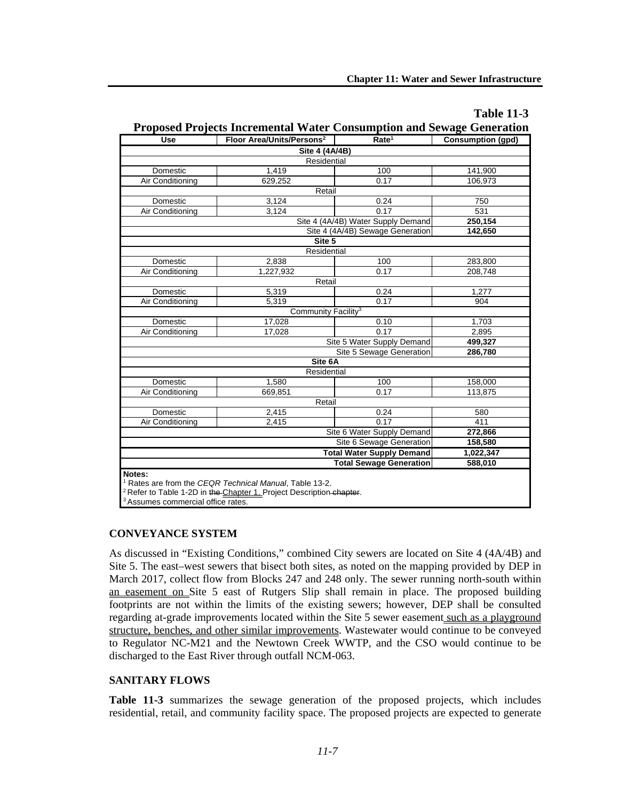| Use                           | Proposed Projects Incremental Water Consumption and Sewage Generation<br>Floor Area/Units/Persons <sup>2</sup> | Rate <sup>1</sup>                  | Consumption (gpd) |  |  |  |  |
|-------------------------------|----------------------------------------------------------------------------------------------------------------|------------------------------------|-------------------|--|--|--|--|
|                               |                                                                                                                |                                    |                   |  |  |  |  |
| Site 4 (4A/4B)<br>Residential |                                                                                                                |                                    |                   |  |  |  |  |
|                               |                                                                                                                |                                    | 141,900           |  |  |  |  |
|                               | Domestic<br>1,419<br>100                                                                                       |                                    |                   |  |  |  |  |
| Air Conditioning              | 629,252                                                                                                        | 0.17                               | 106.973           |  |  |  |  |
|                               | Retail                                                                                                         |                                    |                   |  |  |  |  |
| Domestic                      | 3,124                                                                                                          | 0.24                               | 750               |  |  |  |  |
| Air Conditioning              | 3.124                                                                                                          | 0.17                               | 531               |  |  |  |  |
|                               |                                                                                                                | Site 4 (4A/4B) Water Supply Demand | 250,154           |  |  |  |  |
|                               |                                                                                                                | Site 4 (4A/4B) Sewage Generation   | 142,650           |  |  |  |  |
|                               | Site 5                                                                                                         |                                    |                   |  |  |  |  |
|                               | Residential                                                                                                    |                                    |                   |  |  |  |  |
| Domestic                      | 2,838                                                                                                          | 100                                | 283,800           |  |  |  |  |
| Air Conditioning              | 1,227,932                                                                                                      | 0.17                               | 208,748           |  |  |  |  |
|                               | Retail                                                                                                         |                                    |                   |  |  |  |  |
| Domestic                      | 5,319                                                                                                          | 0.24                               | 1,277             |  |  |  |  |
| Air Conditioning              | 5,319                                                                                                          | 0.17                               | 904               |  |  |  |  |
|                               |                                                                                                                | Community Facility <sup>3</sup>    |                   |  |  |  |  |
| Domestic                      | 17,028                                                                                                         | 0.10                               | 1,703             |  |  |  |  |
| Air Conditioning              | 17,028                                                                                                         | 0.17                               | 2,895             |  |  |  |  |
|                               |                                                                                                                | Site 5 Water Supply Demand         | 499,327           |  |  |  |  |
|                               |                                                                                                                | Site 5 Sewage Generation           | 286,780           |  |  |  |  |
|                               | Site 6A                                                                                                        |                                    |                   |  |  |  |  |
|                               | Residential                                                                                                    |                                    |                   |  |  |  |  |
| Domestic                      | 1,580                                                                                                          | 100                                | 158,000           |  |  |  |  |
| Air Conditioning              | 669,851                                                                                                        | 0.17                               | 113,875           |  |  |  |  |
|                               | Retail                                                                                                         |                                    |                   |  |  |  |  |
| Domestic                      | 2,415                                                                                                          | 0.24                               | 580               |  |  |  |  |
| Air Conditioning              | 2.415                                                                                                          | 0.17                               | 411               |  |  |  |  |
|                               |                                                                                                                | Site 6 Water Supply Demand         | 272,866           |  |  |  |  |
|                               |                                                                                                                | Site 6 Sewage Generation           | 158,580           |  |  |  |  |
|                               |                                                                                                                | <b>Total Water Supply Demand</b>   | 1,022,347         |  |  |  |  |
|                               | 588,010                                                                                                        |                                    |                   |  |  |  |  |
|                               |                                                                                                                | <b>Total Sewage Generation</b>     |                   |  |  |  |  |

# **Table 11-3**

# **Proposed Projects Incremental Water Consumption and Sewage Generation**

<sup>3</sup> Assumes commercial office rates.

# **CONVEYANCE SYSTEM**

As discussed in "Existing Conditions," combined City sewers are located on Site 4 (4A/4B) and Site 5. The east–west sewers that bisect both sites, as noted on the mapping provided by DEP in March 2017, collect flow from Blocks 247 and 248 only. The sewer running north-south within an easement on Site 5 east of Rutgers Slip shall remain in place. The proposed building footprints are not within the limits of the existing sewers; however, DEP shall be consulted regarding at-grade improvements located within the Site 5 sewer easement such as a playground structure, benches, and other similar improvements. Wastewater would continue to be conveyed to Regulator NC-M21 and the Newtown Creek WWTP, and the CSO would continue to be discharged to the East River through outfall NCM-063.

# **SANITARY FLOWS**

**Table 11-3** summarizes the sewage generation of the proposed projects, which includes residential, retail, and community facility space. The proposed projects are expected to generate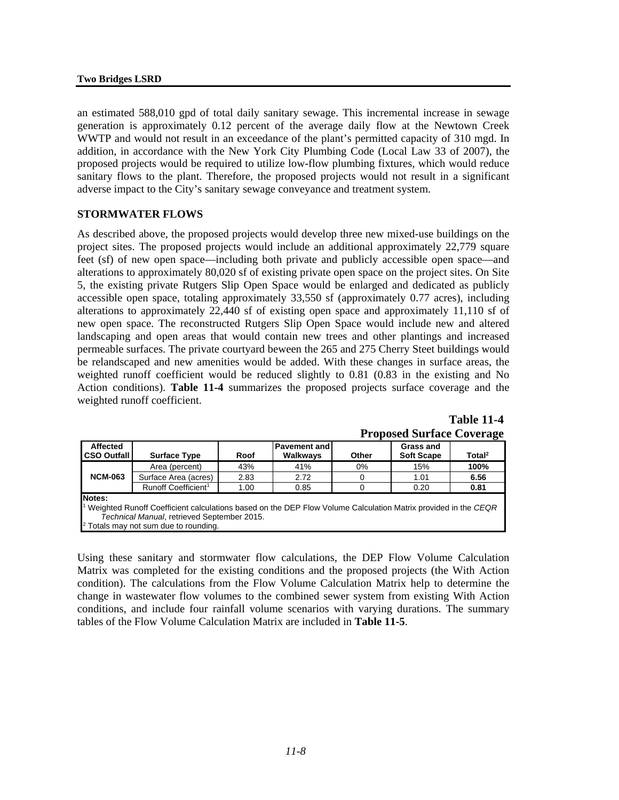an estimated 588,010 gpd of total daily sanitary sewage. This incremental increase in sewage generation is approximately 0.12 percent of the average daily flow at the Newtown Creek WWTP and would not result in an exceedance of the plant's permitted capacity of 310 mgd. In addition, in accordance with the New York City Plumbing Code (Local Law 33 of 2007), the proposed projects would be required to utilize low-flow plumbing fixtures, which would reduce sanitary flows to the plant. Therefore, the proposed projects would not result in a significant adverse impact to the City's sanitary sewage conveyance and treatment system.

#### **STORMWATER FLOWS**

As described above, the proposed projects would develop three new mixed-use buildings on the project sites. The proposed projects would include an additional approximately 22,779 square feet (sf) of new open space—including both private and publicly accessible open space—and alterations to approximately 80,020 sf of existing private open space on the project sites. On Site 5, the existing private Rutgers Slip Open Space would be enlarged and dedicated as publicly accessible open space, totaling approximately 33,550 sf (approximately 0.77 acres), including alterations to approximately 22,440 sf of existing open space and approximately 11,110 sf of new open space. The reconstructed Rutgers Slip Open Space would include new and altered landscaping and open areas that would contain new trees and other plantings and increased permeable surfaces. The private courtyard beween the 265 and 275 Cherry Steet buildings would be relandscaped and new amenities would be added. With these changes in surface areas, the weighted runoff coefficient would be reduced slightly to 0.81 (0.83 in the existing and No Action conditions). **Table 11-4** summarizes the proposed projects surface coverage and the weighted runoff coefficient.

| Troposca Barrace Coverage                                                                                                  |                                 |      |                                 |       |                                       |                    |  |  |  |
|----------------------------------------------------------------------------------------------------------------------------|---------------------------------|------|---------------------------------|-------|---------------------------------------|--------------------|--|--|--|
| <b>Affected</b><br><b>CSO Outfall</b>                                                                                      | <b>Surface Type</b>             | Roof | <b>Pavement and</b><br>Walkways | Other | <b>Grass and</b><br><b>Soft Scape</b> | Total <sup>2</sup> |  |  |  |
|                                                                                                                            | Area (percent)                  | 43%  | 41%                             | 0%    | 15%                                   | 100%               |  |  |  |
| <b>NCM-063</b>                                                                                                             | Surface Area (acres)            | 2.83 | 2.72                            |       | 1.01                                  | 6.56               |  |  |  |
|                                                                                                                            | Runoff Coefficient <sup>1</sup> | 1.00 | 0.85                            |       | 0.20                                  | 0.81               |  |  |  |
| Notes:                                                                                                                     |                                 |      |                                 |       |                                       |                    |  |  |  |
| <sup>1</sup> Weighted Runoff Coefficient calculations based on the DEP Flow Volume Calculation Matrix provided in the CEQR |                                 |      |                                 |       |                                       |                    |  |  |  |
| Technical Manual, retrieved September 2015.                                                                                |                                 |      |                                 |       |                                       |                    |  |  |  |
| $2$ Totals may not sum due to rounding.                                                                                    |                                 |      |                                 |       |                                       |                    |  |  |  |

| Table 11-4                       |
|----------------------------------|
| <b>Proposed Surface Coverage</b> |

**Table 11-4**

Using these sanitary and stormwater flow calculations, the DEP Flow Volume Calculation Matrix was completed for the existing conditions and the proposed projects (the With Action condition). The calculations from the Flow Volume Calculation Matrix help to determine the change in wastewater flow volumes to the combined sewer system from existing With Action conditions, and include four rainfall volume scenarios with varying durations. The summary tables of the Flow Volume Calculation Matrix are included in **Table 11-5**.